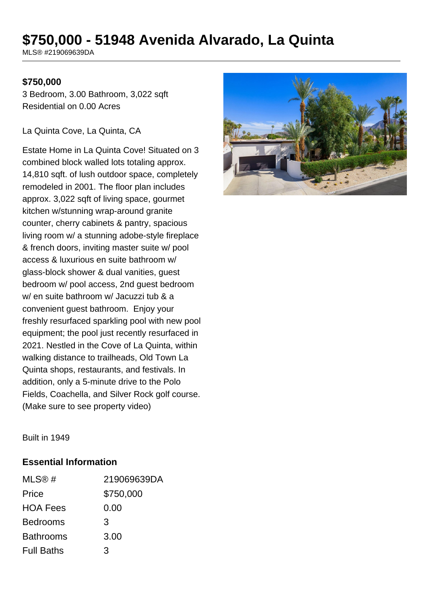# **\$750,000 - 51948 Avenida Alvarado, La Quinta**

MLS® #219069639DA

#### **\$750,000**

3 Bedroom, 3.00 Bathroom, 3,022 sqft Residential on 0.00 Acres

La Quinta Cove, La Quinta, CA

Estate Home in La Quinta Cove! Situated on 3 combined block walled lots totaling approx. 14,810 sqft. of lush outdoor space, completely remodeled in 2001. The floor plan includes approx. 3,022 sqft of living space, gourmet kitchen w/stunning wrap-around granite counter, cherry cabinets & pantry, spacious living room w/ a stunning adobe-style fireplace & french doors, inviting master suite w/ pool access & luxurious en suite bathroom w/ glass-block shower & dual vanities, guest bedroom w/ pool access, 2nd guest bedroom w/ en suite bathroom w/ Jacuzzi tub & a convenient guest bathroom. Enjoy your freshly resurfaced sparkling pool with new pool equipment; the pool just recently resurfaced in 2021. Nestled in the Cove of La Quinta, within walking distance to trailheads, Old Town La Quinta shops, restaurants, and festivals. In addition, only a 5-minute drive to the Polo Fields, Coachella, and Silver Rock golf course. (Make sure to see property video)



Built in 1949

#### **Essential Information**

| MLS@#             | 219069639DA |
|-------------------|-------------|
| Price             | \$750,000   |
| <b>HOA Fees</b>   | 0.00        |
| <b>Bedrooms</b>   | 3           |
| <b>Bathrooms</b>  | 3.00        |
| <b>Full Baths</b> | 3           |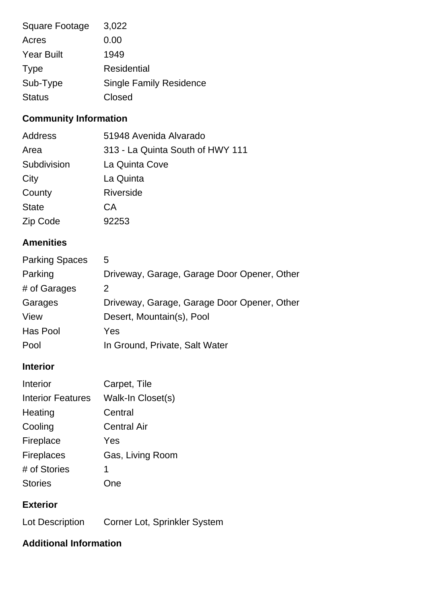| Square Footage    | 3,022                          |
|-------------------|--------------------------------|
| Acres             | 0.00                           |
| <b>Year Built</b> | 1949                           |
| <b>Type</b>       | <b>Residential</b>             |
| Sub-Type          | <b>Single Family Residence</b> |
| <b>Status</b>     | Closed                         |

## **Community Information**

| Address      | 51948 Avenida Alvarado           |
|--------------|----------------------------------|
| Area         | 313 - La Quinta South of HWY 111 |
| Subdivision  | La Quinta Cove                   |
| City         | La Quinta                        |
| County       | <b>Riverside</b>                 |
| <b>State</b> | СA                               |
| Zip Code     | 92253                            |

## **Amenities**

| <b>Parking Spaces</b> | 5                                           |
|-----------------------|---------------------------------------------|
| Parking               | Driveway, Garage, Garage Door Opener, Other |
| # of Garages          | $\mathcal{P}$                               |
| Garages               | Driveway, Garage, Garage Door Opener, Other |
| View                  | Desert, Mountain(s), Pool                   |
| Has Pool              | Yes                                         |
| Pool                  | In Ground, Private, Salt Water              |

## **Interior**

| Interior                 | Carpet, Tile       |
|--------------------------|--------------------|
| <b>Interior Features</b> | Walk-In Closet(s)  |
| Heating                  | Central            |
| Cooling                  | <b>Central Air</b> |
| Fireplace                | Yes                |
| <b>Fireplaces</b>        | Gas, Living Room   |
| # of Stories             | 1                  |
| <b>Stories</b>           | ne                 |

#### **Exterior**

| Lot Description | Corner Lot, Sprinkler System |  |
|-----------------|------------------------------|--|
|                 |                              |  |

## **Additional Information**